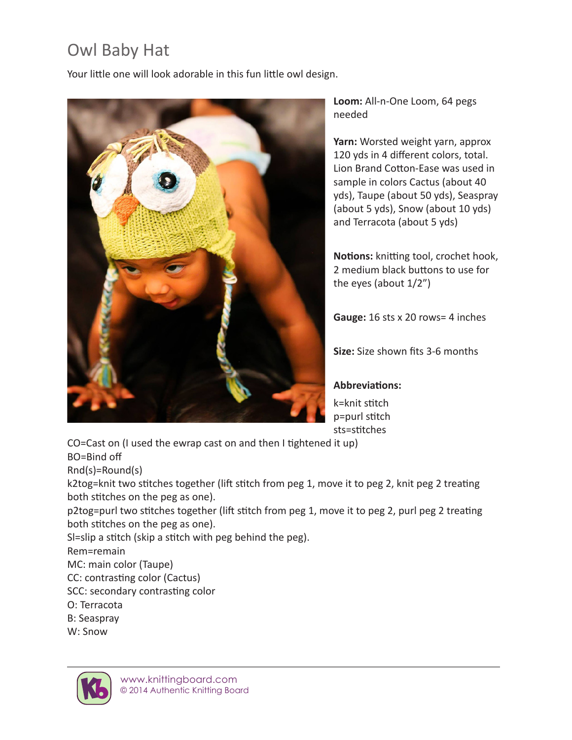# Owl Baby Hat

Your little one will look adorable in this fun little owl design.



**Loom:** All-n-One Loom, 64 pegs needed

**Yarn:** Worsted weight yarn, approx 120 yds in 4 different colors, total. Lion Brand Cotton-Ease was used in sample in colors Cactus (about 40 yds), Taupe (about 50 yds), Seaspray (about 5 yds), Snow (about 10 yds) and Terracota (about 5 yds)

**Notions:** knitting tool, crochet hook, 2 medium black buttons to use for the eyes (about 1/2")

**Gauge:** 16 sts x 20 rows= 4 inches

**Size:** Size shown fits 3-6 months

### **Abbreviations:**

k=knit stitch p=purl stitch sts=stitches

CO=Cast on (I used the ewrap cast on and then I tightened it up) BO=Bind off

Rnd(s)=Round(s)

k2tog=knit two stitches together (lift stitch from peg 1, move it to peg 2, knit peg 2 treating both stitches on the peg as one).

p2tog=purl two stitches together (lift stitch from peg 1, move it to peg 2, purl peg 2 treating both stitches on the peg as one).

Sl=slip a stitch (skip a stitch with peg behind the peg).

Rem=remain

MC: main color (Taupe)

CC: contrasting color (Cactus)

SCC: secondary contrasting color

O: Terracota

B: Seaspray

W: Snow

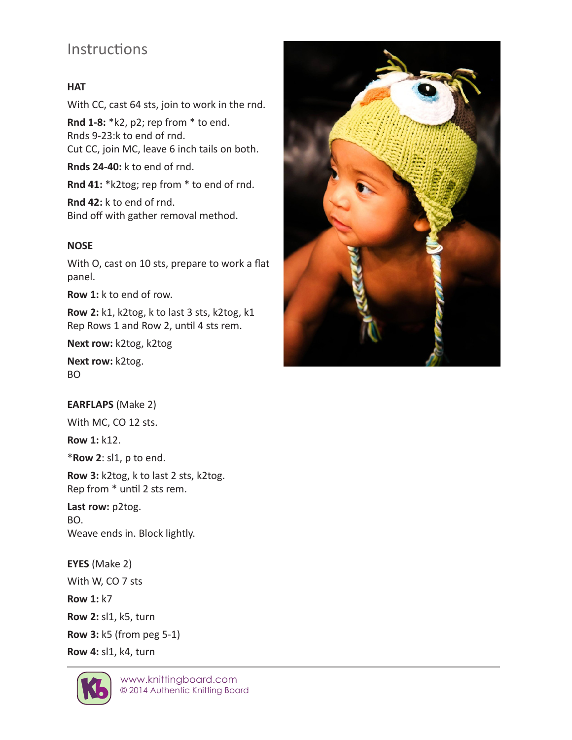# **Instructions**

#### **HAT**

With CC, cast 64 sts, join to work in the rnd.

**Rnd 1-8:** \*k2, p2; rep from \* to end. Rnds 9-23:k to end of rnd. Cut CC, join MC, leave 6 inch tails on both.

**Rnds 24-40:** k to end of rnd.

**Rnd 41:** \*k2tog; rep from \* to end of rnd.

**Rnd 42:** k to end of rnd. Bind off with gather removal method.

#### **NOSE**

With O, cast on 10 sts, prepare to work a flat panel.

**Row 1:** k to end of row.

**Row 2:** k1, k2tog, k to last 3 sts, k2tog, k1 Rep Rows 1 and Row 2, until 4 sts rem.

**Next row:** k2tog, k2tog

**Next row:** k2tog. BO

#### **EARFLAPS** (Make 2)

With MC, CO 12 sts.

**Row 1:** k12.

\***Row 2**: sl1, p to end.

**Row 3:** k2tog, k to last 2 sts, k2tog. Rep from \* until 2 sts rem.

**Last row:** p2tog. BO. Weave ends in. Block lightly.

**EYES** (Make 2)

With W, CO 7 sts

**Row 1:** k7

**Row 2:** sl1, k5, turn

**Row 3:** k5 (from peg 5-1)

**Row 4:** sl1, k4, turn



www.knittingboard.com © 2014 Authentic Knitting Board

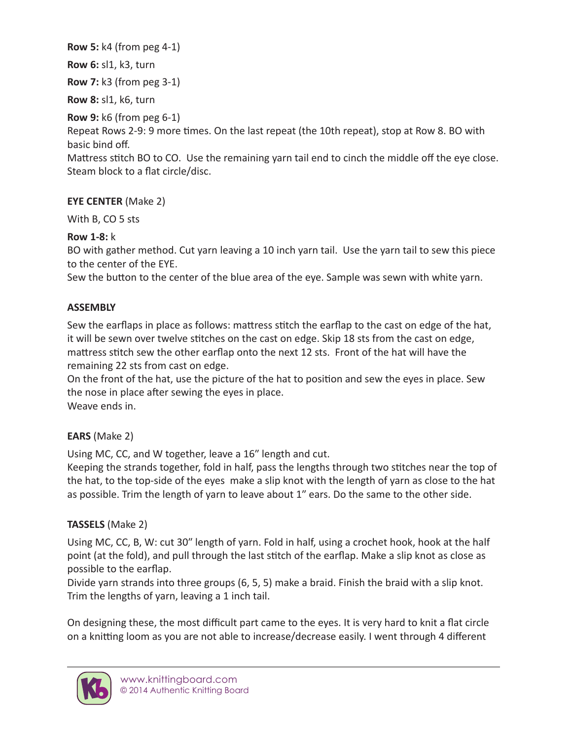**Row 5:** k4 (from peg 4-1)

**Row 6:** sl1, k3, turn

**Row 7:** k3 (from peg 3-1)

**Row 8:** sl1, k6, turn

**Row 9:** k6 (from peg 6-1)

Repeat Rows 2-9: 9 more times. On the last repeat (the 10th repeat), stop at Row 8. BO with basic bind off.

Mattress stitch BO to CO. Use the remaining yarn tail end to cinch the middle off the eye close. Steam block to a flat circle/disc.

**EYE CENTER** (Make 2)

With B, CO 5 sts

# **Row 1-8:** k

BO with gather method. Cut yarn leaving a 10 inch yarn tail. Use the yarn tail to sew this piece to the center of the EYE.

Sew the button to the center of the blue area of the eye. Sample was sewn with white yarn.

# **ASSEMBLY**

Sew the earflaps in place as follows: mattress stitch the earflap to the cast on edge of the hat, it will be sewn over twelve stitches on the cast on edge. Skip 18 sts from the cast on edge, mattress stitch sew the other earflap onto the next 12 sts. Front of the hat will have the remaining 22 sts from cast on edge.

On the front of the hat, use the picture of the hat to position and sew the eyes in place. Sew the nose in place after sewing the eyes in place.

Weave ends in.

# **EARS** (Make 2)

Using MC, CC, and W together, leave a 16″ length and cut.

Keeping the strands together, fold in half, pass the lengths through two stitches near the top of the hat, to the top-side of the eyes make a slip knot with the length of yarn as close to the hat as possible. Trim the length of yarn to leave about 1″ ears. Do the same to the other side.

# **TASSELS** (Make 2)

Using MC, CC, B, W: cut 30″ length of yarn. Fold in half, using a crochet hook, hook at the half point (at the fold), and pull through the last stitch of the earflap. Make a slip knot as close as possible to the earflap.

Divide yarn strands into three groups (6, 5, 5) make a braid. Finish the braid with a slip knot. Trim the lengths of yarn, leaving a 1 inch tail.

On designing these, the most difficult part came to the eyes. It is very hard to knit a flat circle on a knitting loom as you are not able to increase/decrease easily. I went through 4 different